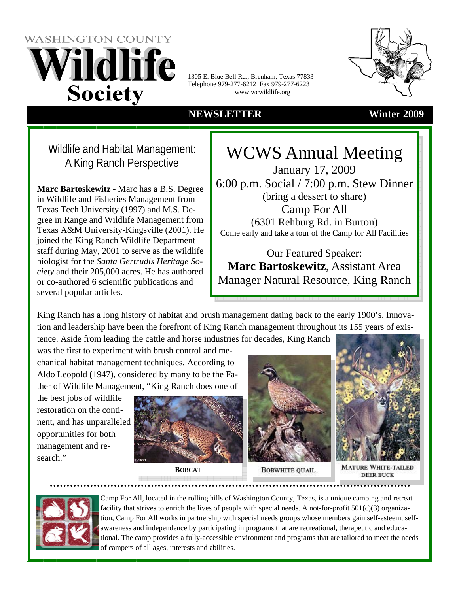1305 E. Blue Bell Rd., Brenham, Texas 77833 Telephone 979-277-6212 Fax 979-277-6223 www.wcwildlife.org

### **NEWSLETTER Winter 2009**

 Wildlife and Habitat Management: A King Ranch Perspective

**Marc Bartoskewitz** - Marc has a B.S. Degree in Wildlife and Fisheries Management from Texas Tech University (1997) and M.S. Degree in Range and Wildlife Management from Texas A&M University-Kingsville (2001). He joined the King Ranch Wildlife Department staff during May, 2001 to serve as the wildlife biologist for the *Santa Gertrudis Heritage Society* and their 205,000 acres. He has authored or co-authored 6 scientific publications and several popular articles.

WCWS Annual Meeting January 17, 2009 6:00 p.m. Social / 7:00 p.m. Stew Dinner (bring a dessert to share) Camp For All (6301 Rehburg Rd. in Burton) Come early and take a tour of the Camp for All Facilities

Our Featured Speaker: **Marc Bartoskewitz**, Assistant Area Manager Natural Resource, King Ranch

King Ranch has a long history of habitat and brush management dating back to the early 1900's. Innovation and leadership have been the forefront of King Ranch management throughout its 155 years of existence. Aside from leading the cattle and horse industries for decades, King Ranch

was the first to experiment with brush control and mechanical habitat management techniques. According to Aldo Leopold (1947), considered by many to be the Father of Wildlife Management, "King Ranch does one of

the best jobs of wildlife restoration on the continent, and has unparalleled opportunities for both management and research."



**BOBCAT**



**BOBWHITE QUAIL** 





Camp For All, located in the rolling hills of Washington County, Texas, is a unique camping and retreat facility that strives to enrich the lives of people with special needs. A not-for-profit  $501(c)(3)$  organization, Camp For All works in partnership with special needs groups whose members gain self-esteem, selfawareness and independence by participating in programs that are recreational, therapeutic and educational. The camp provides a fully-accessible environment and programs that are tailored to meet the needs of campers of all ages, interests and abilities.



# **WASHINGTON COUNTY** Vildlife

**Society**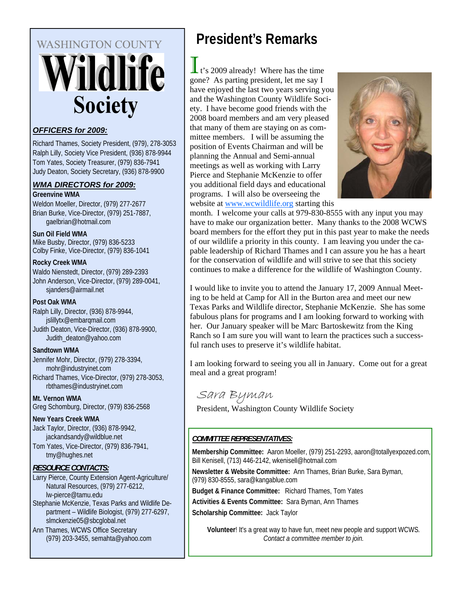# **WASHINGTON COUNTY** Vildlife **Society**

### *OFFICERS for 2009:*

Richard Thames, Society President, (979), 278-3053 Ralph Lilly, Society Vice President, (936) 878-9944 Tom Yates, Society Treasurer, (979) 836-7941 Judy Deaton, Society Secretary, (936) 878-9900

### *WMA DIRECTORS for 2009:*

**Greenvine WMA** 

Weldon Moeller, Director, (979) 277-2677 Brian Burke, Vice-Director, (979) 251-7887, gaelbrian@hotmail.com

### **Sun Oil Field WMA**

Mike Busby, Director, (979) 836-5233 Colby Finke, Vice-Director, (979) 836-1041

### **Rocky Creek WMA**

Waldo Nienstedt, Director, (979) 289-2393 John Anderson, Vice-Director, (979) 289-0041, sjanders@airmail.net

### **Post Oak WMA**

Ralph Lilly, Director, (936) 878-9944, jslillytx@embarqmail.com Judith Deaton, Vice-Director, (936) 878-9900, Judith\_deaton@yahoo.com

### **Sandtown WMA**

Jennifer Mohr, Director, (979) 278-3394, mohr@industryinet.com Richard Thames, Vice-Director, (979) 278-3053, rbthames@industryinet.com

### **Mt. Vernon WMA**  Greg Schomburg, Director, (979) 836-2568

### **New Years Creek WMA**

Jack Taylor, Director, (936) 878-9942, jackandsandy@wildblue.net

Tom Yates, Vice-Director, (979) 836-7941, tmy@hughes.net

### *RESOURCE CONTACTS:*

Larry Pierce, County Extension Agent-Agriculture/ Natural Resources, (979) 277-6212, lw-pierce@tamu.edu Stephanie McKenzie, Texas Parks and Wildlife Department – Wildlife Biologist, (979) 277-6297, slmckenzie05@sbcglobal.net Ann Thames, WCWS Office Secretary

(979) 203-3455, semahta@yahoo.com

# **President's Remarks**

t's 2009 already! Where has the time gone? As parting president, let me say I have enjoyed the last two years serving you and the Washington County Wildlife Society. I have become good friends with the 2008 board members and am very pleased that many of them are staying on as committee members. I will be assuming the position of Events Chairman and will be planning the Annual and Semi-annual meetings as well as working with Larry Pierce and Stephanie McKenzie to offer you additional field days and educational programs. I will also be overseeing the website at www.wcwildlife.org starting this



month. I welcome your calls at 979-830-8555 with any input you may have to make our organization better. Many thanks to the 2008 WCWS board members for the effort they put in this past year to make the needs of our wildlife a priority in this county. I am leaving you under the capable leadership of Richard Thames and I can assure you he has a heart for the conservation of wildlife and will strive to see that this society continues to make a difference for the wildlife of Washington County.

I would like to invite you to attend the January 17, 2009 Annual Meeting to be held at Camp for All in the Burton area and meet our new Texas Parks and Wildlife director, Stephanie McKenzie. She has some fabulous plans for programs and I am looking forward to working with her. Our January speaker will be Marc Bartoskewitz from the King Ranch so I am sure you will want to learn the practices such a successful ranch uses to preserve it's wildlife habitat.

I am looking forward to seeing you all in January. Come out for a great meal and a great program!

# Sara Byman

President, Washington County Wildlife Society

### *COMMITTEE REPRESENTATIVES:*

**Membership Committee:** Aaron Moeller, (979) 251-2293, aaron@totallyexpozed.com, Bill Kenisell, (713) 446-2142, wkenisell@hotmail.com

**Newsletter & Website Committee:** Ann Thames, Brian Burke, Sara Byman, (979) 830-8555, sara@kangablue.com

**Budget & Finance Committee:** Richard Thames, Tom Yates

**Activities & Events Committee:** Sara Byman, Ann Thames

**Scholarship Committee:** Jack Taylor

**Volunteer**! It's a great way to have fun, meet new people and support WCWS*. Contact a committee member to join.*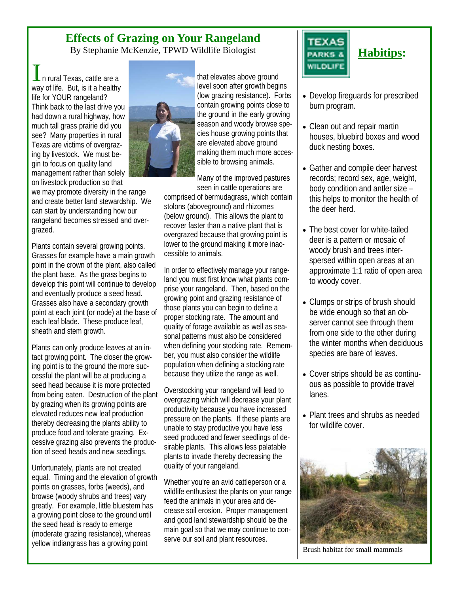# **Effects of Grazing on Your Rangeland**

By Stephanie McKenzie, TPWD Wildlife Biologist

n rural Texas, cattle are a way of life. But, is it a healthy life for YOUR rangeland? Think back to the last drive you had down a rural highway, how much tall grass prairie did you see? Many properties in rural Texas are victims of overgrazing by livestock. We must begin to focus on quality land management rather than solely on livestock production so that

we may promote diversity in the range and create better land stewardship. We can start by understanding how our rangeland becomes stressed and overgrazed.

Plants contain several growing points. Grasses for example have a main growth point in the crown of the plant, also called the plant base. As the grass begins to develop this point will continue to develop and eventually produce a seed head. Grasses also have a secondary growth point at each joint (or node) at the base of each leaf blade. These produce leaf, sheath and stem growth.

Plants can only produce leaves at an intact growing point. The closer the growing point is to the ground the more successful the plant will be at producing a seed head because it is more protected from being eaten. Destruction of the plant by grazing when its growing points are elevated reduces new leaf production thereby decreasing the plants ability to produce food and tolerate grazing. Excessive grazing also prevents the production of seed heads and new seedlings.

Unfortunately, plants are not created equal. Timing and the elevation of growth points on grasses, forbs (weeds), and browse (woody shrubs and trees) vary greatly. For example, little bluestem has a growing point close to the ground until the seed head is ready to emerge (moderate grazing resistance), whereas yellow indiangrass has a growing point



that elevates above ground level soon after growth begins (low grazing resistance). Forbs contain growing points close to the ground in the early growing season and woody browse species house growing points that are elevated above ground making them much more accessible to browsing animals.

Many of the improved pastures seen in cattle operations are

comprised of bermudagrass, which contain stolons (aboveground) and rhizomes (below ground). This allows the plant to recover faster than a native plant that is overgrazed because that growing point is lower to the ground making it more inaccessible to animals.

In order to effectively manage your rangeland you must first know what plants comprise your rangeland. Then, based on the growing point and grazing resistance of those plants you can begin to define a proper stocking rate. The amount and quality of forage available as well as seasonal patterns must also be considered when defining your stocking rate. Remember, you must also consider the wildlife population when defining a stocking rate because they utilize the range as well.

Overstocking your rangeland will lead to overgrazing which will decrease your plant productivity because you have increased pressure on the plants. If these plants are unable to stay productive you have less seed produced and fewer seedlings of desirable plants. This allows less palatable plants to invade thereby decreasing the quality of your rangeland.

Whether you're an avid cattleperson or a wildlife enthusiast the plants on your range feed the animals in your area and decrease soil erosion. Proper management and good land stewardship should be the main goal so that we may continue to conserve our soil and plant resources.



- Develop fireguards for prescribed burn program.
- Clean out and repair martin houses, bluebird boxes and wood duck nesting boxes.
- Gather and compile deer harvest records; record sex, age, weight, body condition and antler size – this helps to monitor the health of the deer herd.
- The best cover for white-tailed deer is a pattern or mosaic of woody brush and trees interspersed within open areas at an approximate 1:1 ratio of open area to woody cover.
- Clumps or strips of brush should be wide enough so that an observer cannot see through them from one side to the other during the winter months when deciduous species are bare of leaves.
- Cover strips should be as continuous as possible to provide travel lanes.
- Plant trees and shrubs as needed for wildlife cover.



Brush habitat for small mammals